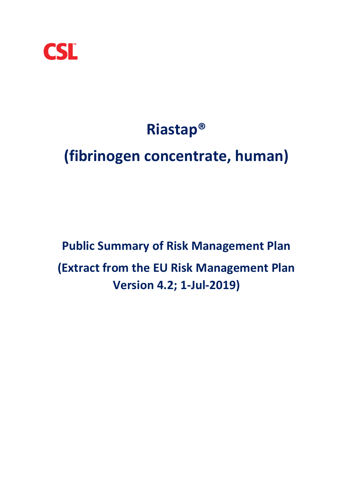

# **Riastap®**

## **(fibrinogen concentrate, human)**

## **Public Summary of Risk Management Plan (Extract from the EU Risk Management Plan Version 4.2; 1-Jul-2019)**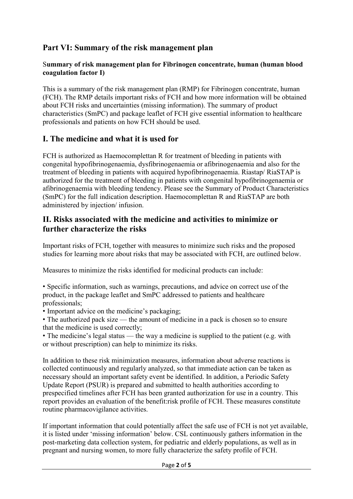## **Part VI: Summary of the risk management plan**

#### S**ummary of risk management plan for Fibrinogen concentrate, human (human blood coagulation factor I)**

This is a summary of the risk management plan (RMP) for Fibrinogen concentrate, human (FCH). The RMP details important risks of FCH and how more information will be obtained about FCH risks and uncertainties (missing information). The summary of product characteristics (SmPC) and package leaflet of FCH give essential information to healthcare professionals and patients on how FCH should be used.

#### **I. The medicine and what it is used for**

FCH is authorized as Haemocomplettan R for treatment of bleeding in patients with congenital hypofibrinogenaemia, dysfibrinogenaemia or afibrinogenaemia and also for the treatment of bleeding in patients with acquired hypofibrinogenaemia. Riastap/ RiaSTAP is authorized for the treatment of bleeding in patients with congenital hypofibrinogenaemia or afibrinogenaemia with bleeding tendency. Please see the Summary of Product Characteristics (SmPC) for the full indication description. Haemocomplettan R and RiaSTAP are both administered by injection/ infusion.

#### **II. Risks associated with the medicine and activities to minimize or further characterize the risks**

Important risks of FCH, together with measures to minimize such risks and the proposed studies for learning more about risks that may be associated with FCH, are outlined below.

Measures to minimize the risks identified for medicinal products can include:

• Specific information, such as warnings, precautions, and advice on correct use of the product, in the package leaflet and SmPC addressed to patients and healthcare professionals;

• Important advice on the medicine's packaging;

• The authorized pack size — the amount of medicine in a pack is chosen so to ensure that the medicine is used correctly;

• The medicine's legal status — the way a medicine is supplied to the patient (e.g. with or without prescription) can help to minimize its risks.

In addition to these risk minimization measures, information about adverse reactions is collected continuously and regularly analyzed, so that immediate action can be taken as necessary should an important safety event be identified. In addition, a Periodic Safety Update Report (PSUR) is prepared and submitted to health authorities according to prespecified timelines after FCH has been granted authorization for use in a country. This report provides an evaluation of the benefit:risk profile of FCH. These measures constitute routine pharmacovigilance activities.

If important information that could potentially affect the safe use of FCH is not yet available, it is listed under 'missing information' below. CSL continuously gathers information in the post-marketing data collection system, for pediatric and elderly populations, as well as in pregnant and nursing women, to more fully characterize the safety profile of FCH.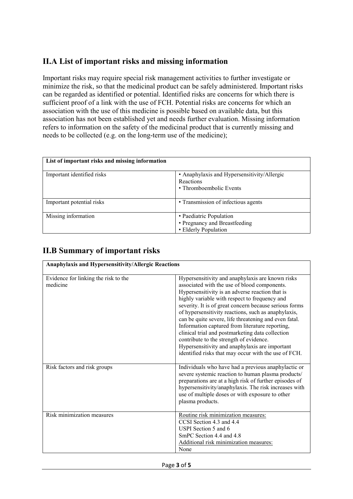## **II.A List of important risks and missing information**

Important risks may require special risk management activities to further investigate or minimize the risk, so that the medicinal product can be safely administered. Important risks can be regarded as identified or potential. Identified risks are concerns for which there is sufficient proof of a link with the use of FCH. Potential risks are concerns for which an association with the use of this medicine is possible based on available data, but this association has not been established yet and needs further evaluation. Missing information refers to information on the safety of the medicinal product that is currently missing and needs to be collected (e.g. on the long-term use of the medicine);

| List of important risks and missing information |                                                                                     |
|-------------------------------------------------|-------------------------------------------------------------------------------------|
| Important identified risks                      | • Anaphylaxis and Hypersensitivity/Allergic<br>Reactions<br>• Thromboembolic Events |
| Important potential risks                       | • Transmission of infectious agents                                                 |
| Missing information                             | • Paediatric Population<br>• Pregnancy and Breastfeeding<br>• Elderly Population    |

## **II.B Summary of important risks**

| Anaphylaxis and Hypersensitivity/Allergic Reactions |                                                                                                                                                                                                                                                                                                                                                                                                                                                                                                                                                                                                                                            |
|-----------------------------------------------------|--------------------------------------------------------------------------------------------------------------------------------------------------------------------------------------------------------------------------------------------------------------------------------------------------------------------------------------------------------------------------------------------------------------------------------------------------------------------------------------------------------------------------------------------------------------------------------------------------------------------------------------------|
| Evidence for linking the risk to the<br>medicine    | Hypersensitivity and anaphylaxis are known risks<br>associated with the use of blood components.<br>Hypersensitivity is an adverse reaction that is<br>highly variable with respect to frequency and<br>severity. It is of great concern because serious forms<br>of hypersensitivity reactions, such as anaphylaxis,<br>can be quite severe, life threatening and even fatal.<br>Information captured from literature reporting,<br>clinical trial and postmarketing data collection<br>contribute to the strength of evidence.<br>Hypersensitivity and anaphylaxis are important<br>identified risks that may occur with the use of FCH. |
| Risk factors and risk groups                        | Individuals who have had a previous anaphylactic or<br>severe systemic reaction to human plasma products/<br>preparations are at a high risk of further episodes of<br>hypersensitivity/anaphylaxis. The risk increases with<br>use of multiple doses or with exposure to other<br>plasma products.                                                                                                                                                                                                                                                                                                                                        |
| Risk minimization measures                          | Routine risk minimization measures:<br>CCSI Section 4.3 and 4.4<br>USPI Section 5 and 6<br>SmPC Section 4.4 and 4.8<br>Additional risk minimization measures:<br>None                                                                                                                                                                                                                                                                                                                                                                                                                                                                      |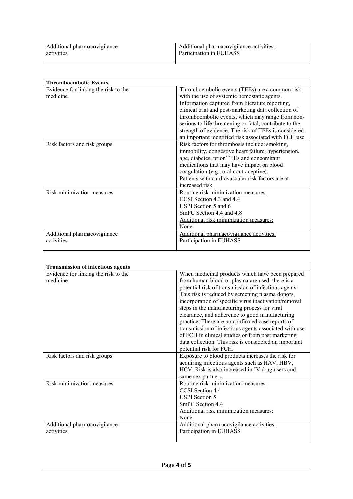| Additional pharmacovigilance | Additional pharmacovigilance activities: |
|------------------------------|------------------------------------------|
| activities                   | Participation in EUHASS                  |
|                              |                                          |

| <b>Thromboembolic Events</b>         |                                                         |
|--------------------------------------|---------------------------------------------------------|
| Evidence for linking the risk to the | Thromboembolic events (TEEs) are a common risk          |
| medicine                             | with the use of systemic hemostatic agents.             |
|                                      | Information captured from literature reporting,         |
|                                      | clinical trial and post-marketing data collection of    |
|                                      | thromboembolic events, which may range from non-        |
|                                      | serious to life threatening or fatal, contribute to the |
|                                      | strength of evidence. The risk of TEEs is considered    |
|                                      | an important identified risk associated with FCH use.   |
| Risk factors and risk groups         | Risk factors for thrombosis include: smoking,           |
|                                      | immobility, congestive heart failure, hypertension,     |
|                                      | age, diabetes, prior TEEs and concomitant               |
|                                      | medications that may have impact on blood               |
|                                      | coagulation (e.g., oral contraceptive).                 |
|                                      | Patients with cardiovascular risk factors are at        |
|                                      | increased risk.                                         |
| Risk minimization measures           | Routine risk minimization measures:                     |
|                                      | CCSI Section 4.3 and 4.4                                |
|                                      | USPI Section 5 and 6                                    |
|                                      | SmPC Section 4.4 and 4.8                                |
|                                      | Additional risk minimization measures:                  |
|                                      | None                                                    |
| Additional pharmacovigilance         | Additional pharmacovigilance activities:                |
| activities                           | Participation in EUHASS                                 |
|                                      |                                                         |

| <b>Transmission of infectious agents</b> |                                                       |
|------------------------------------------|-------------------------------------------------------|
| Evidence for linking the risk to the     | When medicinal products which have been prepared      |
| medicine                                 | from human blood or plasma are used, there is a       |
|                                          | potential risk of transmission of infectious agents.  |
|                                          | This risk is reduced by screening plasma donors,      |
|                                          | incorporation of specific virus inactivation/removal  |
|                                          | steps in the manufacturing process for viral          |
|                                          | clearance, and adherence to good manufacturing        |
|                                          | practice. There are no confirmed case reports of      |
|                                          | transmission of infectious agents associated with use |
|                                          | of FCH in clinical studies or from post marketing     |
|                                          | data collection. This risk is considered an important |
|                                          | potential risk for FCH.                               |
| Risk factors and risk groups             | Exposure to blood products increases the risk for     |
|                                          | acquiring infectious agents such as HAV, HBV,         |
|                                          | HCV. Risk is also increased in IV drug users and      |
|                                          | same sex partners.                                    |
| Risk minimization measures               | Routine risk minimization measures:                   |
|                                          | CCSI Section 4.4                                      |
|                                          | <b>USPI</b> Section 5                                 |
|                                          | SmPC Section 4.4                                      |
|                                          | Additional risk minimization measures:                |
|                                          | None                                                  |
| Additional pharmacovigilance             | Additional pharmacovigilance activities:              |
| activities                               | Participation in EUHASS                               |
|                                          |                                                       |